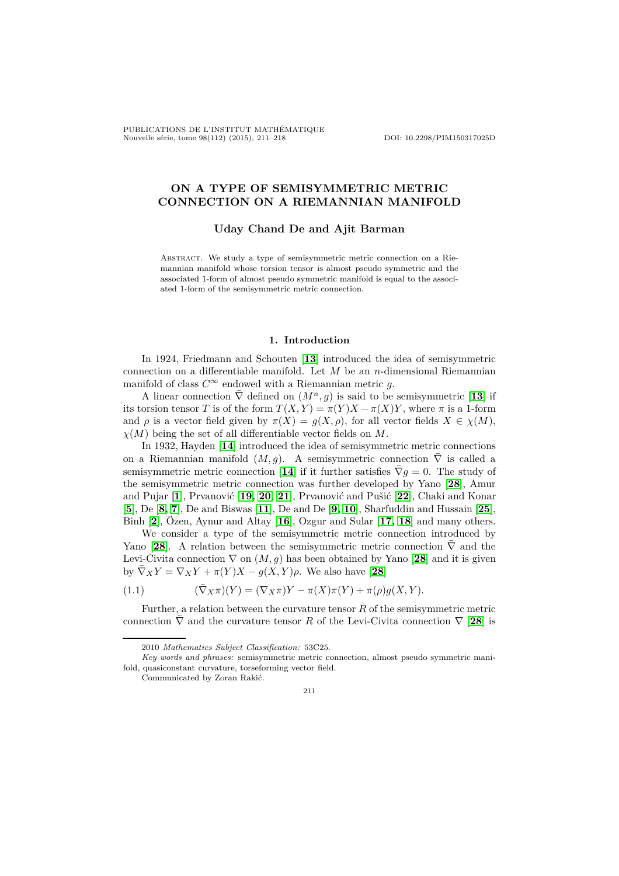PUBLICATIONS DE L'INSTITUT MATHÉMATIQUE Nouvelle série, tome 98(112) (2015), 211–218 DOI: 10.2298/PIM150317025D

# **ON A TYPE OF SEMISYMMETRIC METRIC CONNECTION ON A RIEMANNIAN MANIFOLD**

### **Uday Chand De and Ajit Barman**

Abstract. We study a type of semisymmetric metric connection on a Riemannian manifold whose torsion tensor is almost pseudo symmetric and the associated 1-form of almost pseudo symmetric manifold is equal to the associated 1-form of the semisymmetric metric connection.

### **1. Introduction**

In 1924, Friedmann and Schouten [**[13](#page-7-0)**] introduced the idea of semisymmetric connection on a differentiable manifold. Let *M* be an *n*-dimensional Riemannian manifold of class  $C^{\infty}$  endowed with a Riemannian metric *g*.

A linear connection  $\bar{\nabla}$  defined on  $(M^n, g)$  is said to be semisymmetric [[13](#page-7-0)] if its torsion tensor *T* is of the form  $T(X, Y) = \pi(Y)X - \pi(X)Y$ , where  $\pi$  is a 1-form and  $\rho$  is a vector field given by  $\pi(X) = g(X, \rho)$ , for all vector fields  $X \in \chi(M)$ , *χ*(*M*) being the set of all differentiable vector fields on *M*.

In 1932, Hayden [**[14](#page-7-1)**] introduced the idea of semisymmetric metric connections on a Riemannian manifold  $(M, g)$ . A semisymmetric connection  $\nabla$  is called a semisymmetric metric connection [[14](#page-7-1)] if it further satisfies  $\bar{\nabla}g=0$ . The study of the semisymmetric metric connection was further developed by Yano [**[28](#page-7-2)**], Amur and Pujar [**[1](#page-6-0)**], Prvanović [**[19,](#page-7-3) [20,](#page-7-4) [21](#page-7-5)**], Prvanović and Pušić [**[22](#page-7-6)**], Chaki and Konar [**[5](#page-6-1)**], De [**[8,](#page-6-2) [7](#page-6-3)**], De and Biswas [**[11](#page-7-7)**], De and De [**[9,](#page-6-4) [10](#page-6-5)**], Sharfuddin and Hussain [**[25](#page-7-8)**], Binh [**[2](#page-6-6)**], Özen, Aynur and Altay [**[16](#page-7-9)**], Ozgur and Sular [**[17,](#page-7-10) [18](#page-7-11)**] and many others.

We consider a type of the semisymmetric metric connection introduced by Yano [[28](#page-7-2)]. A relation between the semisymmetric metric connection  $\overline{\nabla}$  and the Levi-Civita connection  $\nabla$  on  $(M, g)$  has been obtained by Yano [[28](#page-7-2)] and it is given by  $\nabla_X Y = \nabla_X Y + \pi(Y)X - g(X, Y)\rho$ . We also have [[28](#page-7-2)]

<span id="page-0-0"></span>(1.1) 
$$
(\bar{\nabla}_X \pi)(Y) = (\nabla_X \pi)Y - \pi(X)\pi(Y) + \pi(\rho)g(X,Y).
$$

Further, a relation between the curvature tensor  $\bar{R}$  of the semisymmetric metric connection  $\nabla$  and the curvature tensor *R* of the Levi-Civita connection  $\nabla$  [[28](#page-7-2)] is

Communicated by Zoran Rakić.



<sup>2010</sup> *Mathematics Subject Classification:* 53C25.

*Key words and phrases:* semisymmetric metric connection, almost pseudo symmetric manifold, quasiconstant curvature, torseforming vector field.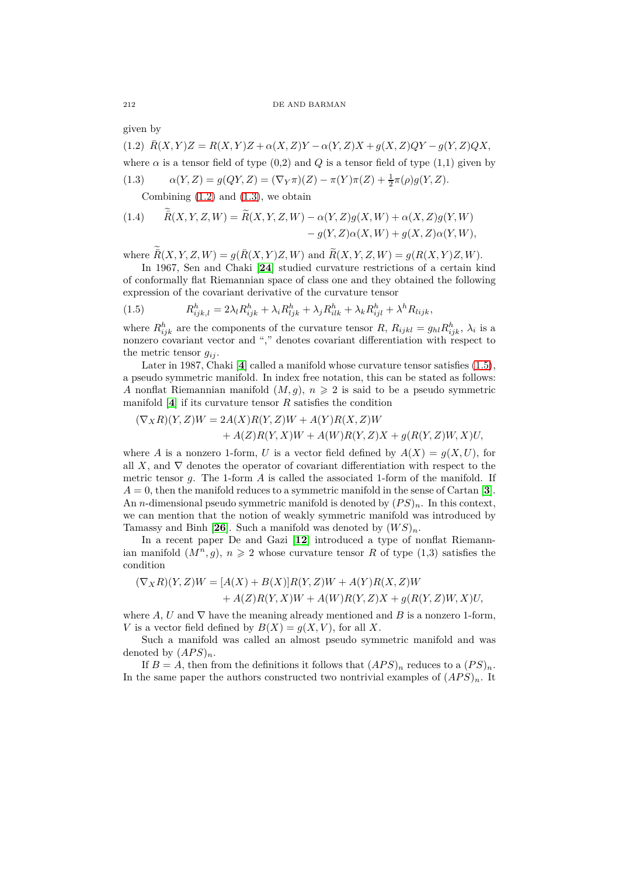given by

<span id="page-1-0"></span> $\overline{R}(X, Y)Z = R(X, Y)Z + \alpha(X, Z)Y - \alpha(Y, Z)X + g(X, Z)QY - g(Y, Z)QX,$ where  $\alpha$  is a tensor field of type  $(0,2)$  and  $Q$  is a tensor field of type  $(1,1)$  given by (1.3)  $\alpha(Y, Z) = g(QY, Z) = (\nabla_Y \pi)(Z) - \pi(Y)\pi(Z) + \frac{1}{2}\pi(\rho)g(Y, Z).$ 

<span id="page-1-1"></span>Combining  $(1.2)$  and  $(1.3)$ , we obtain

<span id="page-1-3"></span>(1.4) 
$$
\overline{R}(X,Y,Z,W) = \widetilde{R}(X,Y,Z,W) - \alpha(Y,Z)g(X,W) + \alpha(X,Z)g(Y,W) - g(Y,Z)\alpha(X,W) + g(X,Z)\alpha(Y,W),
$$

where  $\overline{R}(X, Y, Z, W) = g(\overline{R}(X, Y)Z, W)$  and  $\widetilde{R}(X, Y, Z, W) = g(R(X, Y)Z, W)$ .

In 1967, Sen and Chaki [**[24](#page-7-12)**] studied curvature restrictions of a certain kind of conformally flat Riemannian space of class one and they obtained the following expression of the covariant derivative of the curvature tensor

<span id="page-1-2"></span>(1.5) 
$$
R_{ijk,l}^h = 2\lambda_l R_{ijk}^h + \lambda_i R_{ljk}^h + \lambda_j R_{ilk}^h + \lambda_k R_{ijl}^h + \lambda^h R_{lijk},
$$

where  $R_{ijk}^h$  are the components of the curvature tensor  $R$ ,  $R_{ijkl} = g_{hl} R_{ijk}^h$ ,  $\lambda_i$  is a nonzero covariant vector and "," denotes covariant differentiation with respect to the metric tensor  $q_{ij}$ .

Later in 1987, Chaki [[4](#page-6-7)] called a manifold whose curvature tensor satisfies  $(1.5)$ , a pseudo symmetric manifold. In index free notation, this can be stated as follows: *A* nonflat Riemannian manifold  $(M, g)$ ,  $n \geq 2$  is said to be a pseudo symmetric manifold  $[4]$  $[4]$  $[4]$  if its curvature tensor  $R$  satisfies the condition

$$
(\nabla_X R)(Y,Z)W = 2A(X)R(Y,Z)W + A(Y)R(X,Z)W
$$
  
+  $A(Z)R(Y,X)W + A(W)R(Y,Z)X + g(R(Y,Z)W,X)U,$ 

where *A* is a nonzero 1-form, *U* is a vector field defined by  $A(X) = q(X, U)$ , for all *X*, and  $\nabla$  denotes the operator of covariant differentiation with respect to the metric tensor *g*. The 1-form *A* is called the associated 1-form of the manifold. If  $A = 0$ , then the manifold reduces to a symmetric manifold in the sense of Cartan [**[3](#page-6-8)**]. An *n*-dimensional pseudo symmetric manifold is denoted by  $(PS)_n$ . In this context, we can mention that the notion of weakly symmetric manifold was introduced by Tamassy and Binh [[26](#page-7-13)]. Such a manifold was denoted by  $(W S)_n$ .

In a recent paper De and Gazi [**[12](#page-7-14)**] introduced a type of nonflat Riemannian manifold  $(M^n, g)$ ,  $n \geq 2$  whose curvature tensor *R* of type (1,3) satisfies the condition

$$
(\nabla_X R)(Y,Z)W = [A(X) + B(X)]R(Y,Z)W + A(Y)R(X,Z)W
$$
  
+ A(Z)R(Y,X)W + A(W)R(Y,Z)X + g(R(Y,Z)W,X)U,

where *A*, *U* and  $\nabla$  have the meaning already mentioned and *B* is a nonzero 1-form, *V* is a vector field defined by  $B(X) = q(X, V)$ , for all X.

Such a manifold was called an almost pseudo symmetric manifold and was denoted by  $(APS)_n$ .

If  $B = A$ , then from the definitions it follows that  $(APS)_n$  reduces to a  $(PS)_n$ . In the same paper the authors constructed two nontrivial examples of  $(APS)_n$ . It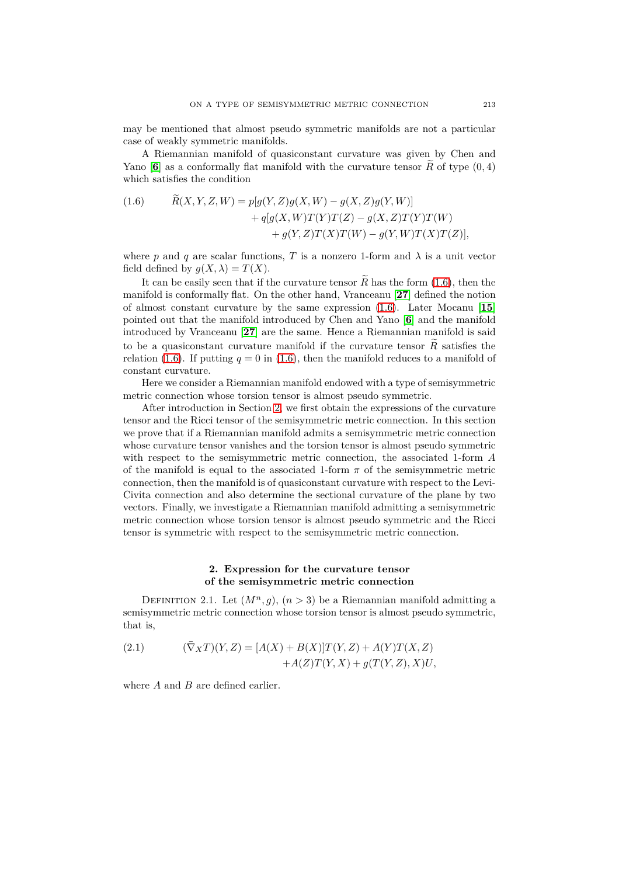may be mentioned that almost pseudo symmetric manifolds are not a particular case of weakly symmetric manifolds.

A Riemannian manifold of quasiconstant curvature was given by Chen and Yano [[6](#page-6-9)] as a conformally flat manifold with the curvature tensor  $\widetilde{R}$  of type  $(0, 4)$ which satisfies the condition

<span id="page-2-0"></span>(1.6) 
$$
\hat{R}(X, Y, Z, W) = p[g(Y, Z)g(X, W) - g(X, Z)g(Y, W)] \n+ q[g(X, W)T(Y)T(Z) - g(X, Z)T(Y)T(W) \n+ g(Y, Z)T(X)T(W) - g(Y, W)T(X)T(Z)],
$$

where *p* and *q* are scalar functions, *T* is a nonzero 1-form and  $\lambda$  is a unit vector field defined by  $q(X, \lambda) = T(X)$ .

It can be easily seen that if the curvature tensor  $\widetilde{R}$  has the form [\(1.6\)](#page-2-0), then the manifold is conformally flat. On the other hand, Vranceanu [**[27](#page-7-15)**] defined the notion of almost constant curvature by the same expression [\(1.6\)](#page-2-0). Later Mocanu [**[15](#page-7-16)**] pointed out that the manifold introduced by Chen and Yano [**[6](#page-6-9)**] and the manifold introduced by Vranceanu [**[27](#page-7-15)**] are the same. Hence a Riemannian manifold is said to be a quasiconstant curvature manifold if the curvature tensor  $\tilde{R}$  satisfies the relation [\(1.6\)](#page-2-0). If putting  $q = 0$  in (1.6), then the manifold reduces to a manifold of constant curvature.

Here we consider a Riemannian manifold endowed with a type of semisymmetric metric connection whose torsion tensor is almost pseudo symmetric.

After introduction in Section [2,](#page-2-1) we first obtain the expressions of the curvature tensor and the Ricci tensor of the semisymmetric metric connection. In this section we prove that if a Riemannian manifold admits a semisymmetric metric connection whose curvature tensor vanishes and the torsion tensor is almost pseudo symmetric with respect to the semisymmetric metric connection, the associated 1-form *A* of the manifold is equal to the associated 1-form  $\pi$  of the semisymmetric metric connection, then the manifold is of quasiconstant curvature with respect to the Levi-Civita connection and also determine the sectional curvature of the plane by two vectors. Finally, we investigate a Riemannian manifold admitting a semisymmetric metric connection whose torsion tensor is almost pseudo symmetric and the Ricci tensor is symmetric with respect to the semisymmetric metric connection.

# **2. Expression for the curvature tensor of the semisymmetric metric connection**

<span id="page-2-1"></span>DEFINITION 2.1. Let  $(M^n, g)$ ,  $(n > 3)$  be a Riemannian manifold admitting a semisymmetric metric connection whose torsion tensor is almost pseudo symmetric, that is,

<span id="page-2-2"></span>(2.1) 
$$
(\bar{\nabla}_X T)(Y, Z) = [A(X) + B(X)]T(Y, Z) + A(Y)T(X, Z) + A(Z)T(Y, X) + g(T(Y, Z), X)U,
$$

where *A* and *B* are defined earlier.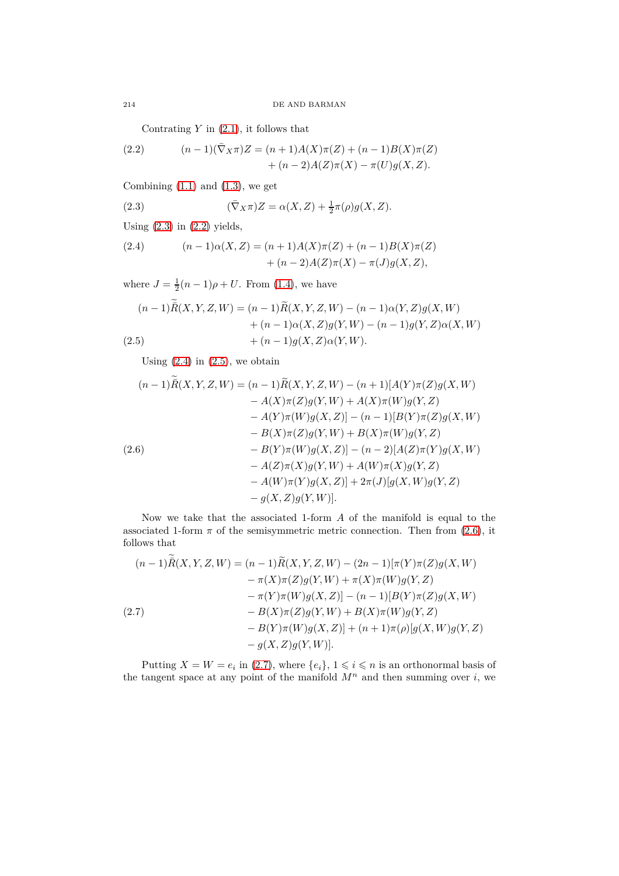Contrating *Y* in [\(2.1\)](#page-2-2), it follows that

<span id="page-3-1"></span>(2.2) 
$$
(n-1)(\bar{\nabla}_X \pi)Z = (n+1)A(X)\pi(Z) + (n-1)B(X)\pi(Z) + (n-2)A(Z)\pi(X) - \pi(U)g(X, Z).
$$

Combining  $(1.1)$  and  $(1.3)$ , we get

<span id="page-3-0"></span>(2.3) 
$$
(\bar{\nabla}_X \pi)Z = \alpha(X,Z) + \frac{1}{2}\pi(\rho)g(X,Z).
$$

Using  $(2.3)$  in  $(2.2)$  yields,

 $\sim$ 

<span id="page-3-2"></span>(2.4) 
$$
(n-1)\alpha(X,Z) = (n+1)A(X)\pi(Z) + (n-1)B(X)\pi(Z) + (n-2)A(Z)\pi(X) - \pi(J)g(X,Z),
$$

where  $J = \frac{1}{2}(n-1)\rho + U$ . From [\(1.4\)](#page-1-3), we have

<span id="page-3-3"></span>
$$
(n-1)\overline{R}(X,Y,Z,W) = (n-1)\widetilde{R}(X,Y,Z,W) - (n-1)\alpha(Y,Z)g(X,W) + (n-1)\alpha(X,Z)g(Y,W) - (n-1)g(Y,Z)\alpha(X,W) + (n-1)g(X,Z)\alpha(Y,W).
$$

Using  $(2.4)$  in  $(2.5)$ , we obtain

<span id="page-3-4"></span>
$$
(n-1)\overline{R}(X,Y,Z,W) = (n-1)\widetilde{R}(X,Y,Z,W) - (n+1)[A(Y)\pi(Z)g(X,W) -A(X)\pi(Z)g(Y,W) + A(X)\pi(W)g(Y,Z) -A(Y)\pi(W)g(X,Z)] - (n-1)[B(Y)\pi(Z)g(X,W) -B(X)\pi(Z)g(Y,W) + B(X)\pi(W)g(Y,Z) -B(Y)\pi(W)g(X,Z)] - (n-2)[A(Z)\pi(Y)g(X,W) -A(Z)\pi(X)g(Y,W) + A(W)\pi(X)g(Y,Z) -A(W)\pi(Y)g(X,Z)] + 2\pi(J)[g(X,W)g(Y,Z) -g(X,Z)g(Y,W)].
$$

Now we take that the associated 1-form *A* of the manifold is equal to the associated 1-form  $\pi$  of the semisymmetric metric connection. Then from [\(2.6\)](#page-3-4), it follows that

<span id="page-3-5"></span>
$$
(n-1)\overline{R}(X,Y,Z,W) = (n-1)\widetilde{R}(X,Y,Z,W) - (2n-1)[\pi(Y)\pi(Z)g(X,W) - \pi(X)\pi(Z)g(Y,W) + \pi(X)\pi(W)g(Y,Z) - \pi(Y)\pi(W)g(X,Z)] - (n-1)[B(Y)\pi(Z)g(X,W) - B(X)\pi(Z)g(Y,W) + B(X)\pi(W)g(Y,Z) - B(Y)\pi(W)g(X,Z)] + (n+1)\pi(\rho)[g(X,W)g(Y,Z) - g(X,Z)g(Y,W)].
$$

Putting  $X = W = e_i$  in [\(2.7\)](#page-3-5), where  $\{e_i\}$ ,  $1 \leq i \leq n$  is an orthonormal basis of the tangent space at any point of the manifold  $M^n$  and then summing over *i*, we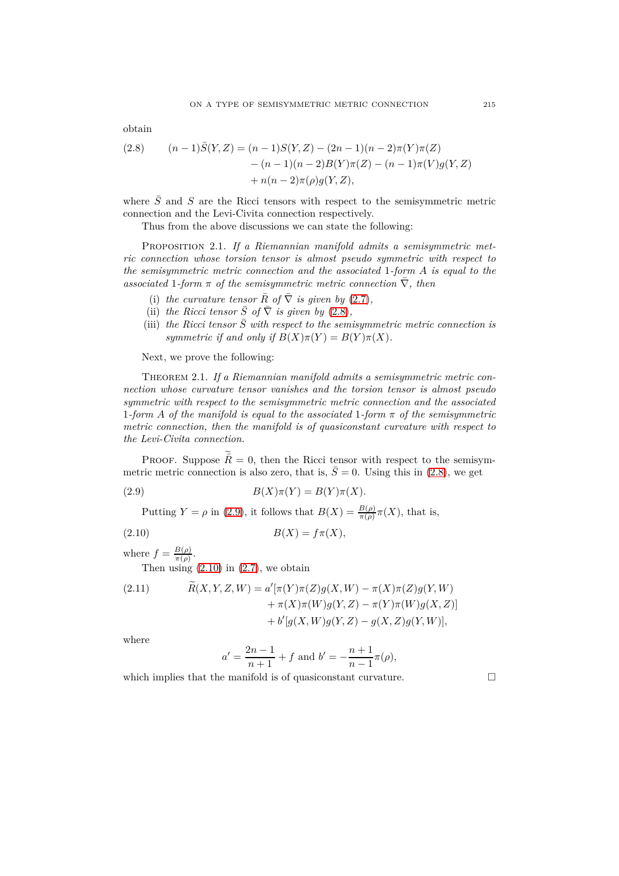obtain

<span id="page-4-0"></span>(2.8) 
$$
(n-1)\overline{S}(Y,Z) = (n-1)S(Y,Z) - (2n-1)(n-2)\pi(Y)\pi(Z) - (n-1)(n-2)B(Y)\pi(Z) - (n-1)\pi(V)g(Y,Z) + n(n-2)\pi(\rho)g(Y,Z),
$$

where  $\bar{S}$  and *S* are the Ricci tensors with respect to the semisymmetric metric connection and the Levi-Civita connection respectively.

Thus from the above discussions we can state the following:

<span id="page-4-4"></span>Proposition 2.1. *If a Riemannian manifold admits a semisymmetric metric connection whose torsion tensor is almost pseudo symmetric with respect to the semisymmetric metric connection and the associated* 1*-form A is equal to the*  $associated 1-form \pi of the semisymmetric metric connection \nabla, then$ 

- (i) the curvature tensor  $\bar{R}$  of  $\bar{\nabla}$  *is given by* [\(2.7\)](#page-3-5),
- (ii) *the Ricci tensor*  $\overline{S}$  *of*  $\overline{\nabla}$  *is given by* [\(2.8\)](#page-4-0)*,*
- (iii) the Ricci tensor  $\overline{S}$  with respect to the semisymmetric metric connection is *symmetric if and only if*  $B(X)\pi(Y) = B(Y)\pi(X)$ .

Next, we prove the following:

Theorem 2.1. *If a Riemannian manifold admits a semisymmetric metric connection whose curvature tensor vanishes and the torsion tensor is almost pseudo symmetric with respect to the semisymmetric metric connection and the associated* 1*-form A of the manifold is equal to the associated* 1*-form π of the semisymmetric metric connection, then the manifold is of quasiconstant curvature with respect to the Levi-Civita connection.*

PROOF. Suppose  $\bar{R} = 0$ , then the Ricci tensor with respect to the semisymmetric metric connection is also zero, that is,  $\overline{S} = 0$ . Using this in [\(2.8\)](#page-4-0), we get

(2.9) 
$$
B(X)\pi(Y) = B(Y)\pi(X).
$$

<span id="page-4-1"></span>Putting  $Y = \rho$  in [\(2.9\)](#page-4-1), it follows that  $B(X) = \frac{B(\rho)}{\pi(\rho)} \pi(X)$ , that is,

$$
(2.10) \t\t B(X) = f\pi(X),
$$

where  $f = \frac{B(\rho)}{\pi(\rho)}$  $\frac{B(\rho)}{\pi(\rho)}$ .

Then using  $(2.10)$  in  $(2.7)$ , we obtain

<span id="page-4-3"></span>(2.11) 
$$
\widetilde{R}(X, Y, Z, W) = a'[\pi(Y)\pi(Z)g(X, W) - \pi(X)\pi(Z)g(Y, W) + \pi(X)\pi(W)g(Y, Z) - \pi(Y)\pi(W)g(X, Z)] + b'[g(X, W)g(Y, Z) - g(X, Z)g(Y, W)],
$$

where

<span id="page-4-2"></span>
$$
a' = \frac{2n-1}{n+1} + f
$$
 and  $b' = -\frac{n+1}{n-1}\pi(\rho)$ ,

which implies that the manifold is of quasiconstant curvature.  $\Box$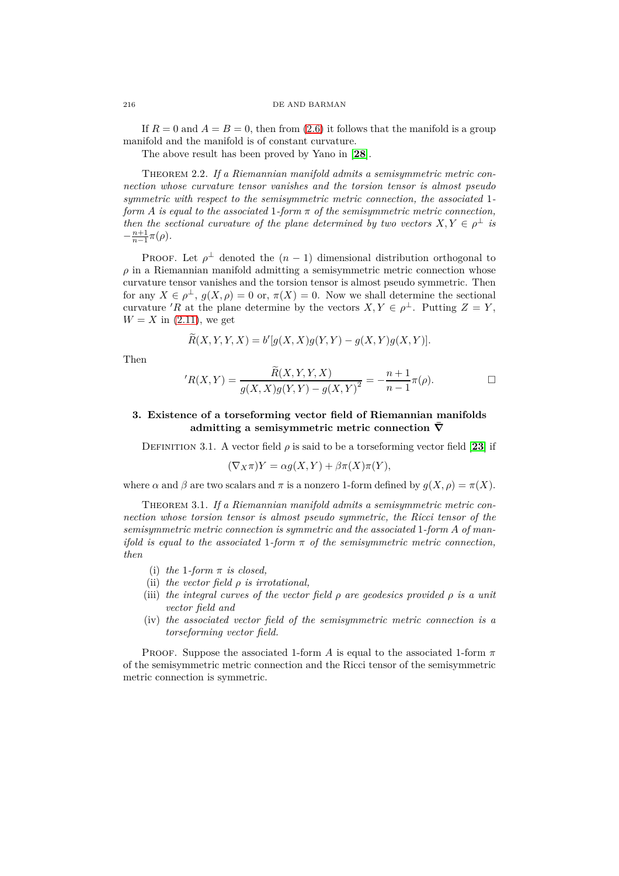If  $R = 0$  and  $A = B = 0$ , then from [\(2.6\)](#page-3-4) it follows that the manifold is a group manifold and the manifold is of constant curvature.

The above result has been proved by Yano in [**[28](#page-7-2)**].

Theorem 2.2. *If a Riemannian manifold admits a semisymmetric metric connection whose curvature tensor vanishes and the torsion tensor is almost pseudo symmetric with respect to the semisymmetric metric connection, the associated* 1 *form A is equal to the associated* 1*-form π of the semisymmetric metric connection, then the sectional curvature of the plane determined by two vectors*  $X, Y \in \rho^{\perp}$  *is*  $-\frac{n+1}{n-1}\pi(\rho)$ .

PROOF. Let  $\rho^{\perp}$  denoted the  $(n-1)$  dimensional distribution orthogonal to  $\rho$  in a Riemannian manifold admitting a semisymmetric metric connection whose curvature tensor vanishes and the torsion tensor is almost pseudo symmetric. Then for any  $X \in \rho^{\perp}$ ,  $g(X, \rho) = 0$  or,  $\pi(X) = 0$ . Now we shall determine the sectional curvature '*R* at the plane determine by the vectors  $X, Y \in \rho^{\perp}$ . Putting  $Z = Y$ ,  $W = X$  in [\(2.11\)](#page-4-3), we get

$$
\widetilde{R}(X,Y,Y,X) = b'[g(X,X)g(Y,Y) - g(X,Y)g(X,Y)].
$$

Then

$$
{}^{\prime}R(X,Y) = \frac{\widetilde{R}(X,Y,Y,X)}{g(X,X)g(Y,Y) - g(X,Y)^2} = -\frac{n+1}{n-1}\pi(\rho).
$$

## **3. Existence of a torseforming vector field of Riemannian manifolds admitting a semisymmetric metric connection**  $\overline{\nabla}$

DEFINITION 3.1. A vector field  $\rho$  is said to be a torseforming vector field [[23](#page-7-17)] if

$$
(\nabla_X \pi)Y = \alpha g(X, Y) + \beta \pi(X)\pi(Y),
$$

where  $\alpha$  and  $\beta$  are two scalars and  $\pi$  is a nonzero 1-form defined by  $q(X, \rho) = \pi(X)$ .

Theorem 3.1. *If a Riemannian manifold admits a semisymmetric metric connection whose torsion tensor is almost pseudo symmetric, the Ricci tensor of the semisymmetric metric connection is symmetric and the associated* 1*-form A of manifold is equal to the associated* 1*-form π of the semisymmetric metric connection, then*

- (i) *the* 1*-form π is closed,*
- (ii) *the vector field ρ is irrotational,*
- (iii) *the integral curves of the vector field ρ are geodesics provided ρ is a unit vector field and*
- (iv) *the associated vector field of the semisymmetric metric connection is a torseforming vector field.*

Proof. Suppose the associated 1-form *A* is equal to the associated 1-form *π* of the semisymmetric metric connection and the Ricci tensor of the semisymmetric metric connection is symmetric.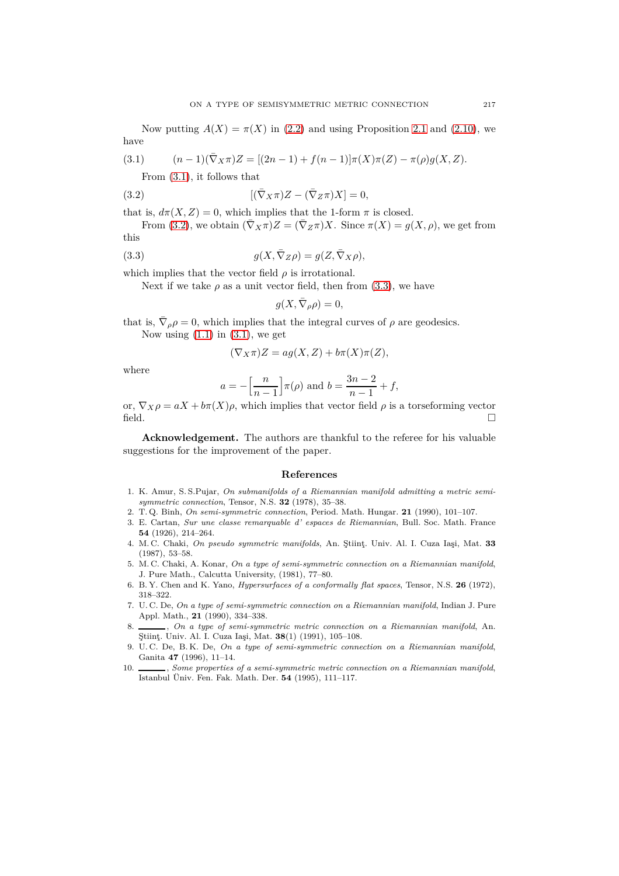Now putting  $A(X) = \pi(X)$  in [\(2.2\)](#page-3-1) and using Proposition [2.1](#page-4-4) and [\(2.10\)](#page-4-2), we have

(3.1) 
$$
(n-1)(\bar{\nabla}_X \pi)Z = [(2n-1) + f(n-1)]\pi(X)\pi(Z) - \pi(\rho)g(X, Z).
$$

<span id="page-6-11"></span><span id="page-6-10"></span>From [\(3.1\)](#page-6-10), it follows that

(3.2) 
$$
[(\bar{\nabla}_X \pi)Z - (\bar{\nabla}_Z \pi)X] = 0,
$$

that is,  $d\pi(X, Z) = 0$ , which implies that the 1-form  $\pi$  is closed.

From [\(3.2\)](#page-6-11), we obtain  $(\bar{\nabla}_X \pi)Z = (\bar{\nabla}_Z \pi)X$ . Since  $\pi(X) = q(X, \rho)$ , we get from this

(3.3) 
$$
g(X, \bar{\nabla}_Z \rho) = g(Z, \bar{\nabla}_X \rho),
$$

which implies that the vector field  $\rho$  is irrotational.

Next if we take  $\rho$  as a unit vector field, then from  $(3.3)$ , we have

<span id="page-6-12"></span>
$$
g(X, \bar{\nabla}_{\rho}\rho) = 0,
$$

that is,  $\bar{\nabla}_{\rho}\rho = 0$ , which implies that the integral curves of  $\rho$  are geodesics. Now using  $(1.1)$  in  $(3.1)$ , we get

$$
(\nabla_X \pi)Z = ag(X, Z) + b\pi(X)\pi(Z),
$$

where

$$
a = -\left[\frac{n}{n-1}\right] \pi(\rho)
$$
 and  $b = \frac{3n-2}{n-1} + f$ ,

or,  $\nabla_X \rho = aX + b\pi(X)\rho$ , which implies that vector field  $\rho$  is a torseforming vector  $\Box$ 

**Acknowledgement.** The authors are thankful to the referee for his valuable suggestions for the improvement of the paper.

#### **References**

- <span id="page-6-0"></span>1. K. Amur, S. S.Pujar, *On submanifolds of a Riemannian manifold admitting a metric semisymmetric connection*, Tensor, N.S. **32** (1978), 35–38.
- <span id="page-6-8"></span><span id="page-6-6"></span>2. T. Q. Binh, *On semi-symmetric connection*, Period. Math. Hungar. **21** (1990), 101–107.
- 3. E. Cartan, *Sur une classe remarquable d' espaces de Riemannian*, Bull. Soc. Math. France **54** (1926), 214–264.
- <span id="page-6-7"></span>4. M. C. Chaki, *On pseudo symmetric manifolds*, An. Ştiinţ. Univ. Al. I. Cuza Iaşi, Mat. **33** (1987), 53–58.
- <span id="page-6-1"></span>5. M. C. Chaki, A. Konar, *On a type of semi-symmetric connection on a Riemannian manifold*, J. Pure Math., Calcutta University, (1981), 77–80.
- <span id="page-6-9"></span>6. B. Y. Chen and K. Yano, *Hypersurfaces of a conformally flat spaces*, Tensor, N.S. **26** (1972), 318–322.
- <span id="page-6-3"></span>7. U. C. De, *On a type of semi-symmetric connection on a Riemannian manifold*, Indian J. Pure Appl. Math., **21** (1990), 334–338.
- <span id="page-6-2"></span>8. , *On a type of semi-symmetric metric connection on a Riemannian manifold*, An. Ştiinţ. Univ. Al. I. Cuza Iaşi, Mat. **38**(1) (1991), 105–108.
- <span id="page-6-4"></span>9. U. C. De, B. K. De, *On a type of semi-symmetric connection on a Riemannian manifold*, Ganita **47** (1996), 11–14.
- <span id="page-6-5"></span>10. Some properties of a semi-symmetric metric connection on a Riemannian manifold, Istanbul Üniv. Fen. Fak. Math. Der. **54** (1995), 111–117.